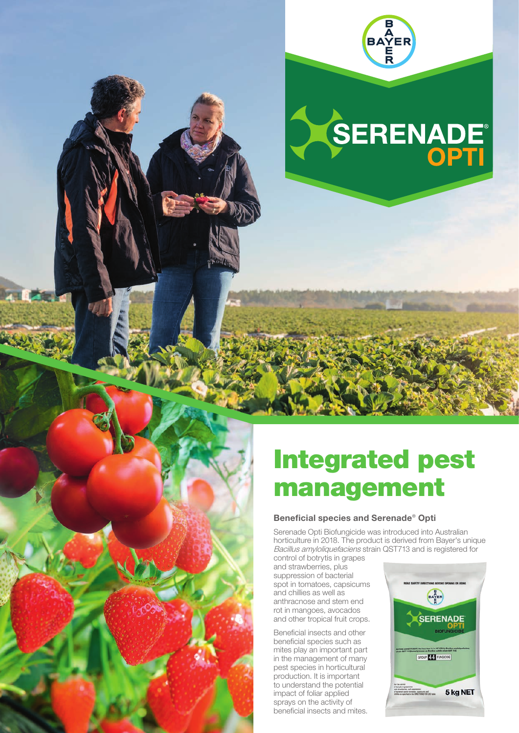

## SERENADE

## Integrated pest management

## Beneficial species and Serenade® Opti

Serenade Opti Biofungicide was introduced into Australian horticulture in 2018. The product is derived from Bayer's unique Bacillus amyloliquefaciens strain QST713 and is registered for control of botrytis in grapes

and strawberries, plus suppression of bacterial spot in tomatoes, capsicums and chillies as well as anthracnose and stem end rot in mangoes, avocados and other tropical fruit crops.

Beneficial insects and other beneficial species such as mites play an important part in the management of many pest species in horticultural production. It is important to understand the potential impact of foliar applied sprays on the activity of beneficial insects and mites.